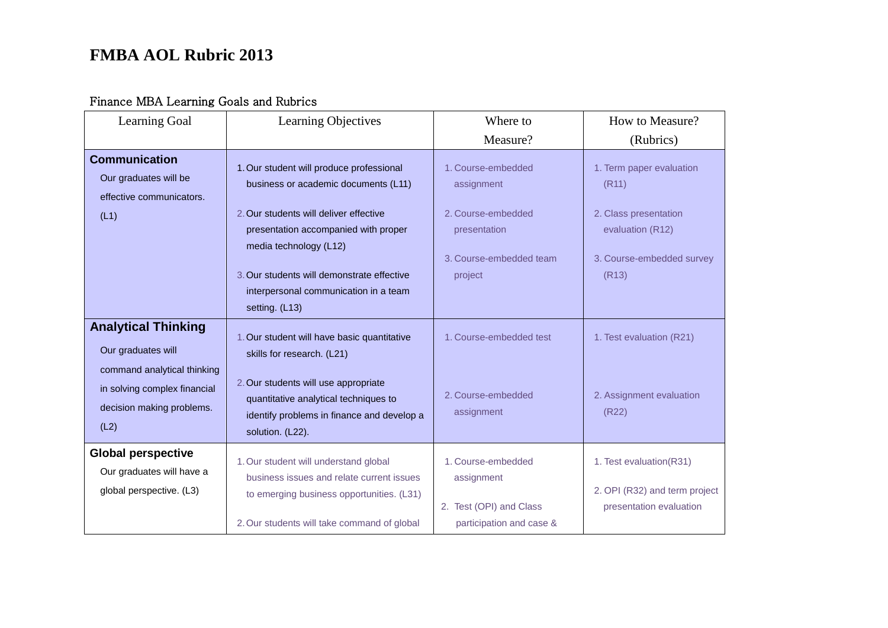### Finance MBA Learning Goals and Rubrics

| Learning Goal                                                                                    | Learning Objectives                                                                                                                                                            | Where to                                                                                | How to Measure?                                                                     |
|--------------------------------------------------------------------------------------------------|--------------------------------------------------------------------------------------------------------------------------------------------------------------------------------|-----------------------------------------------------------------------------------------|-------------------------------------------------------------------------------------|
|                                                                                                  |                                                                                                                                                                                | Measure?                                                                                | (Rubrics)                                                                           |
| <b>Communication</b><br>Our graduates will be<br>effective communicators.                        | 1. Our student will produce professional<br>business or academic documents (L11)                                                                                               | 1. Course-embedded<br>assignment                                                        | 1. Term paper evaluation<br>(R11)                                                   |
| (L1)                                                                                             | 2. Our students will deliver effective<br>presentation accompanied with proper<br>media technology (L12)                                                                       | 2. Course-embedded<br>presentation                                                      | 2. Class presentation<br>evaluation (R12)                                           |
|                                                                                                  | 3. Our students will demonstrate effective<br>interpersonal communication in a team<br>setting. (L13)                                                                          | 3. Course-embedded team<br>project                                                      | 3. Course-embedded survey<br>(R13)                                                  |
| <b>Analytical Thinking</b><br>Our graduates will                                                 | 1. Our student will have basic quantitative<br>skills for research. (L21)                                                                                                      | 1. Course-embedded test                                                                 | 1. Test evaluation (R21)                                                            |
| command analytical thinking<br>in solving complex financial<br>decision making problems.<br>(L2) | 2. Our students will use appropriate<br>quantitative analytical techniques to<br>identify problems in finance and develop a<br>solution. (L22).                                | 2. Course-embedded<br>assignment                                                        | 2. Assignment evaluation<br>(R22)                                                   |
| <b>Global perspective</b><br>Our graduates will have a<br>global perspective. (L3)               | 1. Our student will understand global<br>business issues and relate current issues<br>to emerging business opportunities. (L31)<br>2. Our students will take command of global | 1. Course-embedded<br>assignment<br>2. Test (OPI) and Class<br>participation and case & | 1. Test evaluation(R31)<br>2. OPI (R32) and term project<br>presentation evaluation |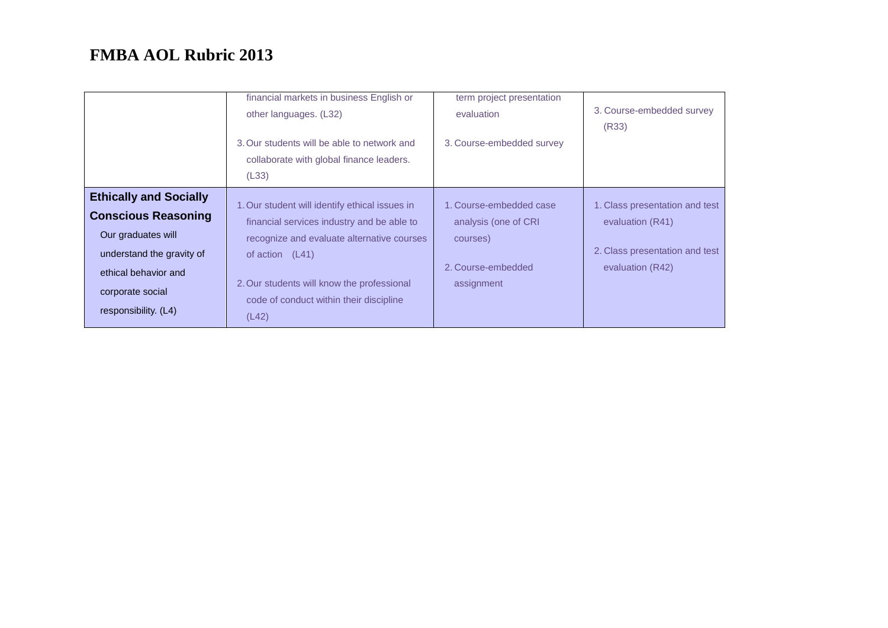|                                                                                                                                                                                    | financial markets in business English or<br>other languages. (L32)<br>3. Our students will be able to network and<br>collaborate with global finance leaders.<br>(L33)                                                                                            | term project presentation<br>evaluation<br>3. Course-embedded survey                            | 3. Course-embedded survey<br>(R33)                                                                       |
|------------------------------------------------------------------------------------------------------------------------------------------------------------------------------------|-------------------------------------------------------------------------------------------------------------------------------------------------------------------------------------------------------------------------------------------------------------------|-------------------------------------------------------------------------------------------------|----------------------------------------------------------------------------------------------------------|
| <b>Ethically and Socially</b><br><b>Conscious Reasoning</b><br>Our graduates will<br>understand the gravity of<br>ethical behavior and<br>corporate social<br>responsibility. (L4) | 1. Our student will identify ethical issues in<br>financial services industry and be able to<br>recognize and evaluate alternative courses<br>of action $(L41)$<br>2. Our students will know the professional<br>code of conduct within their discipline<br>(L42) | 1. Course-embedded case<br>analysis (one of CRI<br>courses)<br>2. Course-embedded<br>assignment | 1. Class presentation and test<br>evaluation (R41)<br>2. Class presentation and test<br>evaluation (R42) |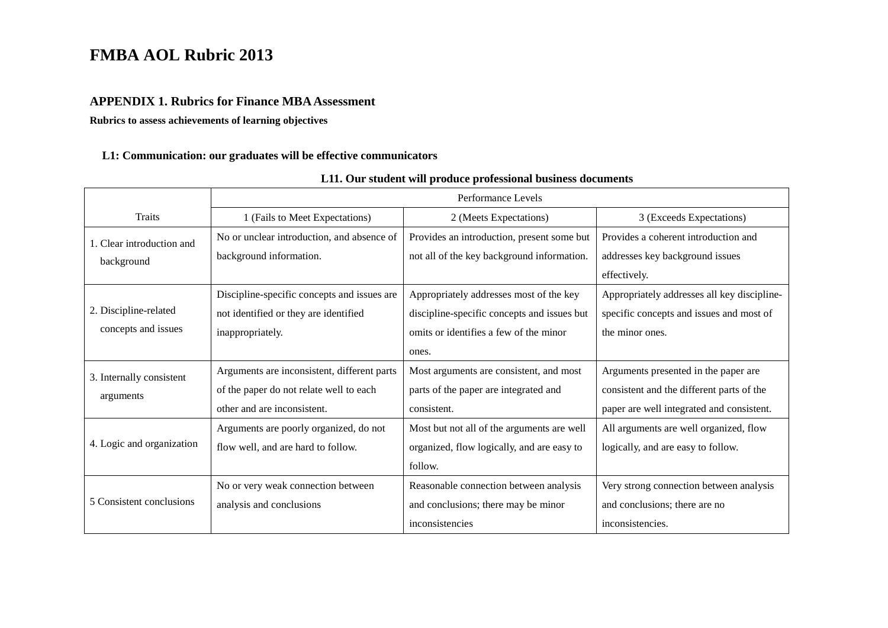#### **APPENDIX 1. Rubrics for Finance MBA Assessment**

**Rubrics to assess achievements of learning objectives**

#### **L1: Communication: our graduates will be effective communicators**

|                           | Performance Levels                          |                                             |                                             |  |  |
|---------------------------|---------------------------------------------|---------------------------------------------|---------------------------------------------|--|--|
| <b>Traits</b>             | 1 (Fails to Meet Expectations)              | 2 (Meets Expectations)                      | 3 (Exceeds Expectations)                    |  |  |
| 1. Clear introduction and | No or unclear introduction, and absence of  | Provides an introduction, present some but  | Provides a coherent introduction and        |  |  |
| background                | background information.                     | not all of the key background information.  | addresses key background issues             |  |  |
|                           |                                             |                                             | effectively.                                |  |  |
|                           | Discipline-specific concepts and issues are | Appropriately addresses most of the key     | Appropriately addresses all key discipline- |  |  |
| 2. Discipline-related     | not identified or they are identified       | discipline-specific concepts and issues but | specific concepts and issues and most of    |  |  |
| concepts and issues       | inappropriately.                            | omits or identifies a few of the minor      | the minor ones.                             |  |  |
|                           |                                             | ones.                                       |                                             |  |  |
| 3. Internally consistent  | Arguments are inconsistent, different parts | Most arguments are consistent, and most     | Arguments presented in the paper are        |  |  |
| arguments                 | of the paper do not relate well to each     | parts of the paper are integrated and       | consistent and the different parts of the   |  |  |
|                           | other and are inconsistent.                 | consistent.                                 | paper are well integrated and consistent.   |  |  |
|                           | Arguments are poorly organized, do not      | Most but not all of the arguments are well  | All arguments are well organized, flow      |  |  |
| 4. Logic and organization | flow well, and are hard to follow.          | organized, flow logically, and are easy to  | logically, and are easy to follow.          |  |  |
|                           |                                             | follow.                                     |                                             |  |  |
|                           | No or very weak connection between          | Reasonable connection between analysis      | Very strong connection between analysis     |  |  |
| 5 Consistent conclusions  | analysis and conclusions                    | and conclusions; there may be minor         | and conclusions; there are no               |  |  |
|                           |                                             | inconsistencies                             | inconsistencies.                            |  |  |

#### **L11. Our student will produce professional business documents**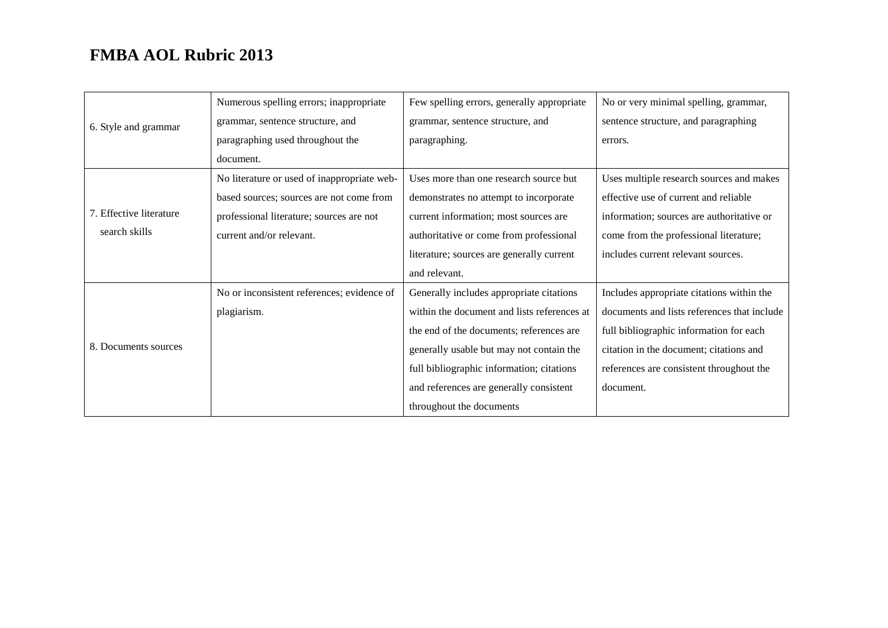|                         | Numerous spelling errors; inappropriate     | Few spelling errors, generally appropriate  | No or very minimal spelling, grammar,       |
|-------------------------|---------------------------------------------|---------------------------------------------|---------------------------------------------|
| 6. Style and grammar    | grammar, sentence structure, and            | grammar, sentence structure, and            | sentence structure, and paragraphing        |
|                         | paragraphing used throughout the            | paragraphing.                               | errors.                                     |
|                         | document.                                   |                                             |                                             |
|                         | No literature or used of inappropriate web- | Uses more than one research source but      | Uses multiple research sources and makes    |
|                         | based sources; sources are not come from    | demonstrates no attempt to incorporate      | effective use of current and reliable       |
| 7. Effective literature | professional literature; sources are not    | current information; most sources are       | information; sources are authoritative or   |
| search skills           | current and/or relevant.                    | authoritative or come from professional     | come from the professional literature;      |
|                         |                                             | literature; sources are generally current   | includes current relevant sources.          |
|                         |                                             | and relevant.                               |                                             |
|                         | No or inconsistent references; evidence of  | Generally includes appropriate citations    | Includes appropriate citations within the   |
|                         | plagiarism.                                 | within the document and lists references at | documents and lists references that include |
|                         |                                             | the end of the documents; references are    | full bibliographic information for each     |
| 8. Documents sources    |                                             | generally usable but may not contain the    | citation in the document; citations and     |
|                         |                                             | full bibliographic information; citations   | references are consistent throughout the    |
|                         |                                             | and references are generally consistent     | document.                                   |
|                         |                                             | throughout the documents                    |                                             |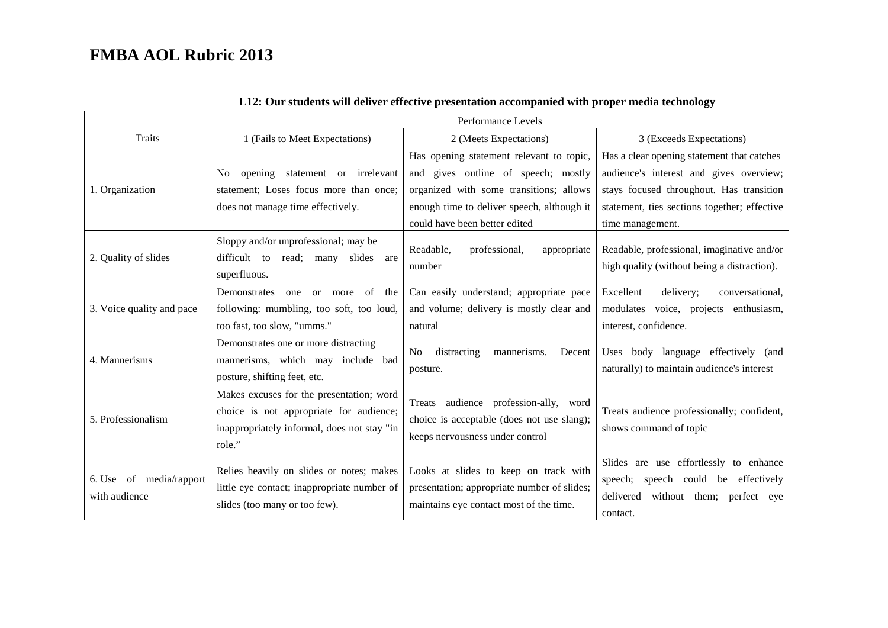|                                          | Performance Levels                                                                                                                           |                                                                                                                                 |                                                                                                                                        |  |
|------------------------------------------|----------------------------------------------------------------------------------------------------------------------------------------------|---------------------------------------------------------------------------------------------------------------------------------|----------------------------------------------------------------------------------------------------------------------------------------|--|
| Traits                                   | 1 (Fails to Meet Expectations)                                                                                                               | 2 (Meets Expectations)                                                                                                          | 3 (Exceeds Expectations)                                                                                                               |  |
|                                          |                                                                                                                                              | Has opening statement relevant to topic,                                                                                        | Has a clear opening statement that catches                                                                                             |  |
|                                          | statement or irrelevant<br>opening<br>No.                                                                                                    | and gives outline of speech; mostly                                                                                             | audience's interest and gives overview;                                                                                                |  |
| 1. Organization                          | statement; Loses focus more than once;                                                                                                       | organized with some transitions; allows                                                                                         | stays focused throughout. Has transition                                                                                               |  |
|                                          | does not manage time effectively.                                                                                                            | enough time to deliver speech, although it                                                                                      | statement, ties sections together; effective                                                                                           |  |
|                                          |                                                                                                                                              | could have been better edited                                                                                                   | time management.                                                                                                                       |  |
| 2. Quality of slides                     | Sloppy and/or unprofessional; may be<br>difficult to<br>read; many<br>slides are<br>superfluous.                                             | Readable,<br>professional,<br>appropriate<br>number                                                                             | Readable, professional, imaginative and/or<br>high quality (without being a distraction).                                              |  |
| 3. Voice quality and pace                | of the<br>Demonstrates<br>one<br>$\alpha$<br>more<br>following: mumbling, too soft, too loud,                                                | Can easily understand; appropriate pace<br>and volume; delivery is mostly clear and                                             | Excellent<br>delivery;<br>conversational,<br>modulates voice, projects enthusiasm,                                                     |  |
|                                          | too fast, too slow, "umms."                                                                                                                  | natural                                                                                                                         | interest, confidence.                                                                                                                  |  |
| 4. Mannerisms                            | Demonstrates one or more distracting<br>mannerisms, which may include bad<br>posture, shifting feet, etc.                                    | distracting<br>mannerisms.<br>Decent<br>No<br>posture.                                                                          | Uses body language effectively (and<br>naturally) to maintain audience's interest                                                      |  |
| 5. Professionalism                       | Makes excuses for the presentation; word<br>choice is not appropriate for audience;<br>inappropriately informal, does not stay "in<br>role." | Treats audience profession-ally, word<br>choice is acceptable (does not use slang);<br>keeps nervousness under control          | Treats audience professionally; confident,<br>shows command of topic                                                                   |  |
| 6. Use of media/rapport<br>with audience | Relies heavily on slides or notes; makes<br>little eye contact; inappropriate number of<br>slides (too many or too few).                     | Looks at slides to keep on track with<br>presentation; appropriate number of slides;<br>maintains eye contact most of the time. | Slides are use effortlessly to enhance<br>speech could be effectively<br>speech;<br>delivered<br>without them; perfect eye<br>contact. |  |

#### **L12: Our students will deliver effective presentation accompanied with proper media technology**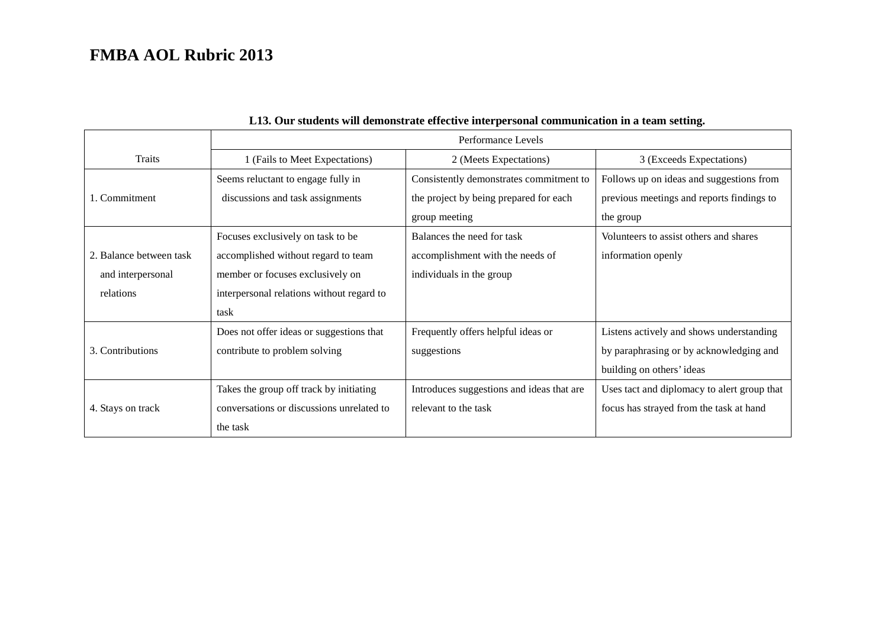|                         | Performance Levels                        |                                           |                                             |  |
|-------------------------|-------------------------------------------|-------------------------------------------|---------------------------------------------|--|
| <b>Traits</b>           | 1 (Fails to Meet Expectations)            | 2 (Meets Expectations)                    | 3 (Exceeds Expectations)                    |  |
|                         | Seems reluctant to engage fully in        | Consistently demonstrates commitment to   | Follows up on ideas and suggestions from    |  |
| 1. Commitment           | discussions and task assignments          | the project by being prepared for each    | previous meetings and reports findings to   |  |
|                         |                                           | group meeting                             | the group                                   |  |
|                         | Focuses exclusively on task to be         | Balances the need for task                | Volunteers to assist others and shares      |  |
| 2. Balance between task | accomplished without regard to team       | accomplishment with the needs of          | information openly                          |  |
| and interpersonal       | member or focuses exclusively on          | individuals in the group                  |                                             |  |
| relations               | interpersonal relations without regard to |                                           |                                             |  |
|                         | task                                      |                                           |                                             |  |
|                         | Does not offer ideas or suggestions that  | Frequently offers helpful ideas or        | Listens actively and shows understanding    |  |
| 3. Contributions        | contribute to problem solving             | suggestions                               | by paraphrasing or by acknowledging and     |  |
|                         |                                           |                                           | building on others' ideas                   |  |
|                         | Takes the group off track by initiating   | Introduces suggestions and ideas that are | Uses tact and diplomacy to alert group that |  |
| 4. Stays on track       | conversations or discussions unrelated to | relevant to the task                      | focus has strayed from the task at hand     |  |
|                         | the task                                  |                                           |                                             |  |

### **L13. Our students will demonstrate effective interpersonal communication in a team setting.**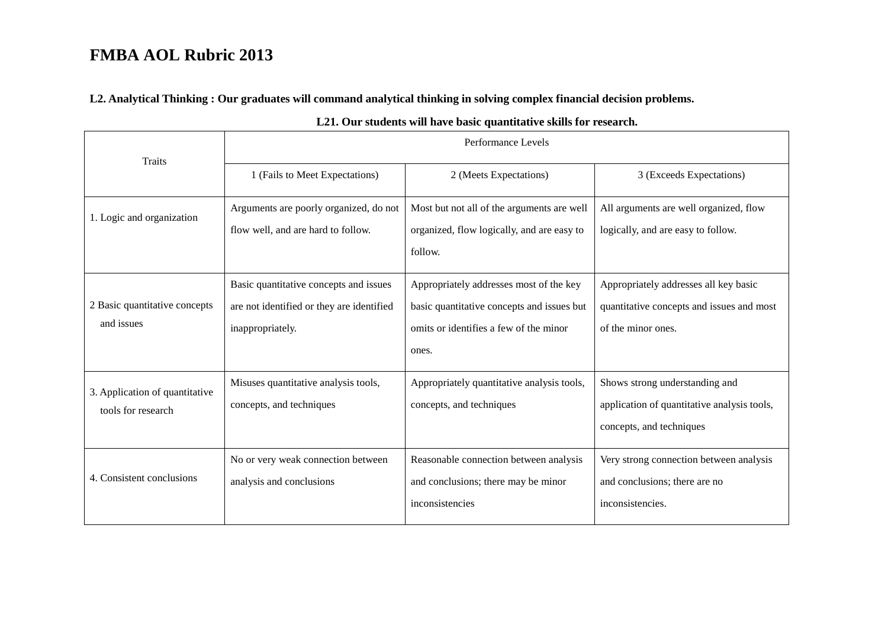**L2. Analytical Thinking : Our graduates will command analytical thinking in solving complex financial decision problems.** 

| <b>Traits</b>                                        | Performance Levels                                                                                      |                                                                                                                                          |                                                                                                           |  |
|------------------------------------------------------|---------------------------------------------------------------------------------------------------------|------------------------------------------------------------------------------------------------------------------------------------------|-----------------------------------------------------------------------------------------------------------|--|
|                                                      | 1 (Fails to Meet Expectations)                                                                          | 2 (Meets Expectations)                                                                                                                   | 3 (Exceeds Expectations)                                                                                  |  |
| 1. Logic and organization                            | Arguments are poorly organized, do not<br>flow well, and are hard to follow.                            | Most but not all of the arguments are well<br>organized, flow logically, and are easy to<br>follow.                                      | All arguments are well organized, flow<br>logically, and are easy to follow.                              |  |
| 2 Basic quantitative concepts<br>and issues          | Basic quantitative concepts and issues<br>are not identified or they are identified<br>inappropriately. | Appropriately addresses most of the key<br>basic quantitative concepts and issues but<br>omits or identifies a few of the minor<br>ones. | Appropriately addresses all key basic<br>quantitative concepts and issues and most<br>of the minor ones.  |  |
| 3. Application of quantitative<br>tools for research | Misuses quantitative analysis tools,<br>concepts, and techniques                                        | Appropriately quantitative analysis tools,<br>concepts, and techniques                                                                   | Shows strong understanding and<br>application of quantitative analysis tools,<br>concepts, and techniques |  |
| 4. Consistent conclusions                            | No or very weak connection between<br>analysis and conclusions                                          | Reasonable connection between analysis<br>and conclusions; there may be minor<br>inconsistencies                                         | Very strong connection between analysis<br>and conclusions; there are no<br>inconsistencies.              |  |

#### **L21. Our students will have basic quantitative skills for research.**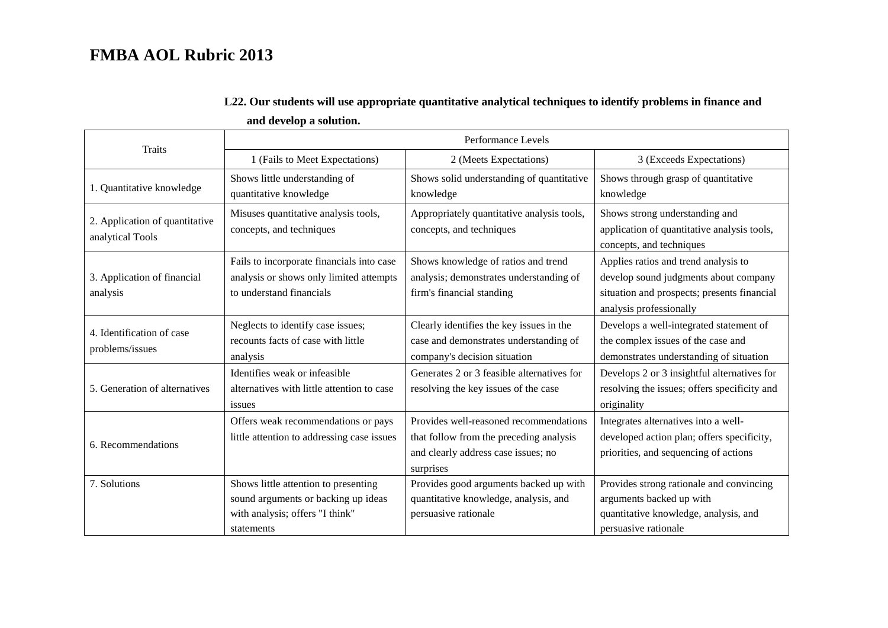|                                                                                                                        | Performance Levels                                                                                                                                                                                                              |                                                                                                                                       |                                                                                                                                                         |  |
|------------------------------------------------------------------------------------------------------------------------|---------------------------------------------------------------------------------------------------------------------------------------------------------------------------------------------------------------------------------|---------------------------------------------------------------------------------------------------------------------------------------|---------------------------------------------------------------------------------------------------------------------------------------------------------|--|
| <b>Traits</b>                                                                                                          | 1 (Fails to Meet Expectations)                                                                                                                                                                                                  | 2 (Meets Expectations)                                                                                                                | 3 (Exceeds Expectations)                                                                                                                                |  |
| 1. Quantitative knowledge                                                                                              | Shows little understanding of<br>quantitative knowledge                                                                                                                                                                         | Shows solid understanding of quantitative<br>knowledge                                                                                | Shows through grasp of quantitative<br>knowledge                                                                                                        |  |
| 2. Application of quantitative<br>analytical Tools                                                                     | Misuses quantitative analysis tools,<br>concepts, and techniques                                                                                                                                                                | Appropriately quantitative analysis tools,<br>concepts, and techniques                                                                | Shows strong understanding and<br>application of quantitative analysis tools,<br>concepts, and techniques                                               |  |
| 3. Application of financial<br>analysis                                                                                | Fails to incorporate financials into case<br>Shows knowledge of ratios and trend<br>analysis or shows only limited attempts<br>analysis; demonstrates understanding of<br>to understand financials<br>firm's financial standing |                                                                                                                                       | Applies ratios and trend analysis to<br>develop sound judgments about company<br>situation and prospects; presents financial<br>analysis professionally |  |
| 4. Identification of case<br>problems/issues                                                                           | Neglects to identify case issues;<br>recounts facts of case with little<br>analysis                                                                                                                                             | Clearly identifies the key issues in the<br>case and demonstrates understanding of<br>company's decision situation                    | Develops a well-integrated statement of<br>the complex issues of the case and<br>demonstrates understanding of situation                                |  |
| Identifies weak or infeasible<br>5. Generation of alternatives<br>alternatives with little attention to case<br>issues |                                                                                                                                                                                                                                 | Generates 2 or 3 feasible alternatives for<br>resolving the key issues of the case                                                    | Develops 2 or 3 insightful alternatives for<br>resolving the issues; offers specificity and<br>originality                                              |  |
| 6. Recommendations                                                                                                     | Offers weak recommendations or pays<br>little attention to addressing case issues                                                                                                                                               | Provides well-reasoned recommendations<br>that follow from the preceding analysis<br>and clearly address case issues; no<br>surprises | Integrates alternatives into a well-<br>developed action plan; offers specificity,<br>priorities, and sequencing of actions                             |  |
| 7. Solutions                                                                                                           | Shows little attention to presenting<br>sound arguments or backing up ideas<br>with analysis; offers "I think"<br>statements                                                                                                    | Provides good arguments backed up with<br>quantitative knowledge, analysis, and<br>persuasive rationale                               | Provides strong rationale and convincing<br>arguments backed up with<br>quantitative knowledge, analysis, and<br>persuasive rationale                   |  |

### **L22. Our students will use appropriate quantitative analytical techniques to identify problems in finance and**

 **and develop a solution.**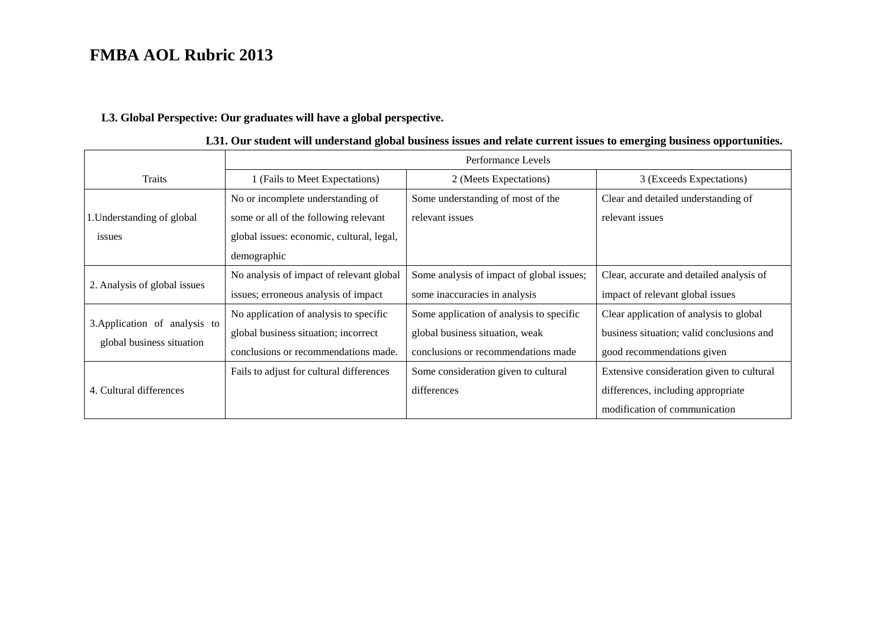### **L3. Global Perspective: Our graduates will have a global perspective.**

|                                                            | Performance Levels                                                                                                                                                                             |                                                                                                                    |                                                                                                                    |  |  |
|------------------------------------------------------------|------------------------------------------------------------------------------------------------------------------------------------------------------------------------------------------------|--------------------------------------------------------------------------------------------------------------------|--------------------------------------------------------------------------------------------------------------------|--|--|
| <b>Traits</b>                                              | 1 (Fails to Meet Expectations)                                                                                                                                                                 | 2 (Meets Expectations)                                                                                             | 3 (Exceeds Expectations)                                                                                           |  |  |
| 1. Understanding of global<br>issues                       | Some understanding of most of the<br>No or incomplete understanding of<br>some or all of the following relevant<br>relevant issues<br>global issues: economic, cultural, legal,<br>demographic |                                                                                                                    | Clear and detailed understanding of<br>relevant issues                                                             |  |  |
| 2. Analysis of global issues                               | No analysis of impact of relevant global<br>issues; erroneous analysis of impact                                                                                                               | Some analysis of impact of global issues;<br>some inaccuracies in analysis                                         | Clear, accurate and detailed analysis of<br>impact of relevant global issues                                       |  |  |
| 3. Application of analysis to<br>global business situation | No application of analysis to specific<br>global business situation; incorrect<br>conclusions or recommendations made.                                                                         | Some application of analysis to specific<br>global business situation, weak<br>conclusions or recommendations made | Clear application of analysis to global<br>business situation; valid conclusions and<br>good recommendations given |  |  |
| 4. Cultural differences                                    | Fails to adjust for cultural differences                                                                                                                                                       | Some consideration given to cultural<br>differences                                                                | Extensive consideration given to cultural<br>differences, including appropriate<br>modification of communication   |  |  |

|  |  |  |  |  |  | L31. Our student will understand global business issues and relate current issues to emerging business opportunities. |
|--|--|--|--|--|--|-----------------------------------------------------------------------------------------------------------------------|
|--|--|--|--|--|--|-----------------------------------------------------------------------------------------------------------------------|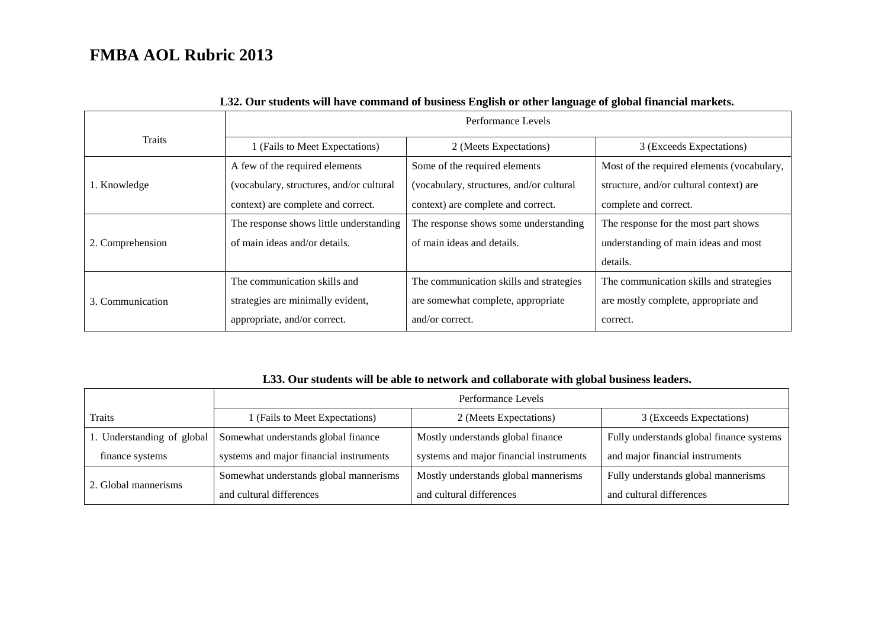|                  | Performance Levels                       |                                           |                                            |  |
|------------------|------------------------------------------|-------------------------------------------|--------------------------------------------|--|
| <b>Traits</b>    | 1 (Fails to Meet Expectations)           | 2 (Meets Expectations)                    | 3 (Exceeds Expectations)                   |  |
|                  | A few of the required elements           | Some of the required elements             | Most of the required elements (vocabulary, |  |
| 1. Knowledge     | (vocabulary, structures, and/or cultural | (vocabulary, structures, and/or cultural) | structure, and/or cultural context) are    |  |
|                  | context) are complete and correct.       | context) are complete and correct.        | complete and correct.                      |  |
|                  | The response shows little understanding  | The response shows some understanding     | The response for the most part shows       |  |
| 2. Comprehension | of main ideas and/or details.            | of main ideas and details.                | understanding of main ideas and most       |  |
|                  |                                          |                                           | details.                                   |  |
|                  | The communication skills and             | The communication skills and strategies   | The communication skills and strategies    |  |
| 3. Communication | strategies are minimally evident,        | are somewhat complete, appropriate        | are mostly complete, appropriate and       |  |
|                  | appropriate, and/or correct.             | and/or correct.                           | correct.                                   |  |

### **L32. Our students will have command of business English or other language of global financial markets.**

#### **L33. Our students will be able to network and collaborate with global business leaders.**

|                            | Performance Levels                      |                                         |                                          |  |
|----------------------------|-----------------------------------------|-----------------------------------------|------------------------------------------|--|
| Traits                     | 1 (Fails to Meet Expectations)          | 2 (Meets Expectations)                  | 3 (Exceeds Expectations)                 |  |
| 1. Understanding of global | Somewhat understands global finance     | Mostly understands global finance       | Fully understands global finance systems |  |
| finance systems            | systems and major financial instruments | systems and major financial instruments | and major financial instruments          |  |
|                            | Somewhat understands global mannerisms  | Mostly understands global mannerisms    | Fully understands global mannerisms      |  |
| 2. Global mannerisms       | and cultural differences                | and cultural differences                | and cultural differences                 |  |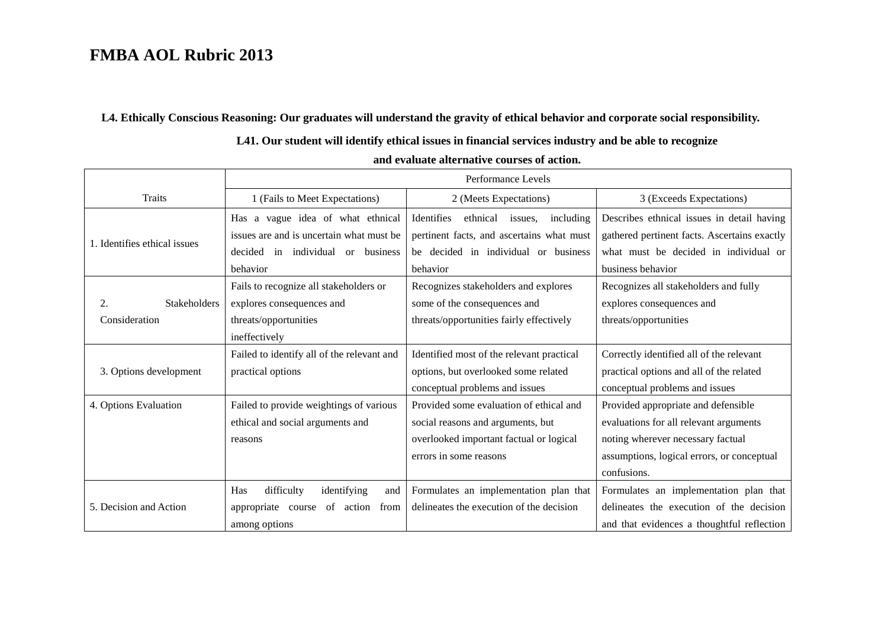#### **L4. Ethically Conscious Reasoning: Our graduates will understand the gravity of ethical behavior and corporate social responsibility.**

### **L41. Our student will identify ethical issues in financial services industry and be able to recognize**

|                              | Performance Levels                         |                                                |                                              |
|------------------------------|--------------------------------------------|------------------------------------------------|----------------------------------------------|
| Traits                       | 1 (Fails to Meet Expectations)             | 2 (Meets Expectations)                         | 3 (Exceeds Expectations)                     |
|                              | Has a vague idea of what ethnical          | Identifies<br>ethnical<br>including<br>issues. | Describes ethnical issues in detail having   |
| 1. Identifies ethical issues | issues are and is uncertain what must be   | pertinent facts, and ascertains what must      | gathered pertinent facts. Ascertains exactly |
|                              | in individual or business<br>decided       | be decided in individual or business           | what must be decided in individual or        |
|                              | behavior                                   | behavior                                       | business behavior                            |
|                              | Fails to recognize all stakeholders or     | Recognizes stakeholders and explores           | Recognizes all stakeholders and fully        |
| <b>Stakeholders</b><br>2.    | explores consequences and                  | some of the consequences and                   | explores consequences and                    |
| Consideration                | threats/opportunities                      | threats/opportunities fairly effectively       | threats/opportunities                        |
|                              | ineffectively                              |                                                |                                              |
|                              | Failed to identify all of the relevant and | Identified most of the relevant practical      | Correctly identified all of the relevant     |
| 3. Options development       | practical options                          | options, but overlooked some related           | practical options and all of the related     |
|                              |                                            | conceptual problems and issues                 | conceptual problems and issues               |
| 4. Options Evaluation        | Failed to provide weightings of various    | Provided some evaluation of ethical and        | Provided appropriate and defensible          |
|                              | ethical and social arguments and           | social reasons and arguments, but              | evaluations for all relevant arguments       |
|                              | reasons                                    | overlooked important factual or logical        | noting wherever necessary factual            |
|                              |                                            | errors in some reasons                         | assumptions, logical errors, or conceptual   |
|                              |                                            |                                                | confusions.                                  |
|                              | difficulty<br>Has<br>identifying<br>and    | Formulates an implementation plan that         | Formulates an implementation plan that       |
| 5. Decision and Action       | appropriate course<br>of action<br>from    | delineates the execution of the decision       | delineates the execution of the decision     |
|                              | among options                              |                                                | and that evidences a thoughtful reflection   |

#### **and evaluate alternative courses of action.**